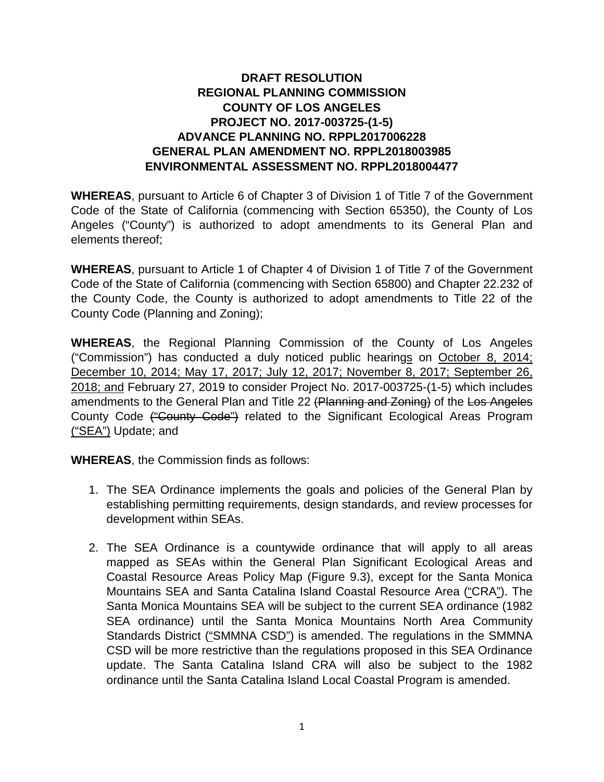# **DRAFT RESOLUTION REGIONAL PLANNING COMMISSION COUNTY OF LOS ANGELES PROJECT NO. 2017-003725-(1-5) ADVANCE PLANNING NO. RPPL2017006228 GENERAL PLAN AMENDMENT NO. RPPL2018003985 ENVIRONMENTAL ASSESSMENT NO. RPPL2018004477**

**WHEREAS**, pursuant to Article 6 of Chapter 3 of Division 1 of Title 7 of the Government Code of the State of California (commencing with Section 65350), the County of Los Angeles ("County") is authorized to adopt amendments to its General Plan and elements thereof;

**WHEREAS**, pursuant to Article 1 of Chapter 4 of Division 1 of Title 7 of the Government Code of the State of California (commencing with Section 65800) and Chapter 22.232 of the County Code, the County is authorized to adopt amendments to Title 22 of the County Code (Planning and Zoning);

**WHEREAS**, the Regional Planning Commission of the County of Los Angeles ("Commission") has conducted a duly noticed public hearings on October 8, 2014; December 10, 2014; May 17, 2017; July 12, 2017; November 8, 2017; September 26, 2018; and February 27, 2019 to consider Project No. 2017-003725-(1-5) which includes amendments to the General Plan and Title 22 (Planning and Zoning) of the Los Angeles County Code ("County Code") related to the Significant Ecological Areas Program ("SEA") Update; and

**WHEREAS**, the Commission finds as follows:

- 1. The SEA Ordinance implements the goals and policies of the General Plan by establishing permitting requirements, design standards, and review processes for development within SEAs.
- 2. The SEA Ordinance is a countywide ordinance that will apply to all areas mapped as SEAs within the General Plan Significant Ecological Areas and Coastal Resource Areas Policy Map (Figure 9.3), except for the Santa Monica Mountains SEA and Santa Catalina Island Coastal Resource Area ("CRA"). The Santa Monica Mountains SEA will be subject to the current SEA ordinance (1982 SEA ordinance) until the Santa Monica Mountains North Area Community Standards District ("SMMNA CSD") is amended. The regulations in the SMMNA CSD will be more restrictive than the regulations proposed in this SEA Ordinance update. The Santa Catalina Island CRA will also be subject to the 1982 ordinance until the Santa Catalina Island Local Coastal Program is amended.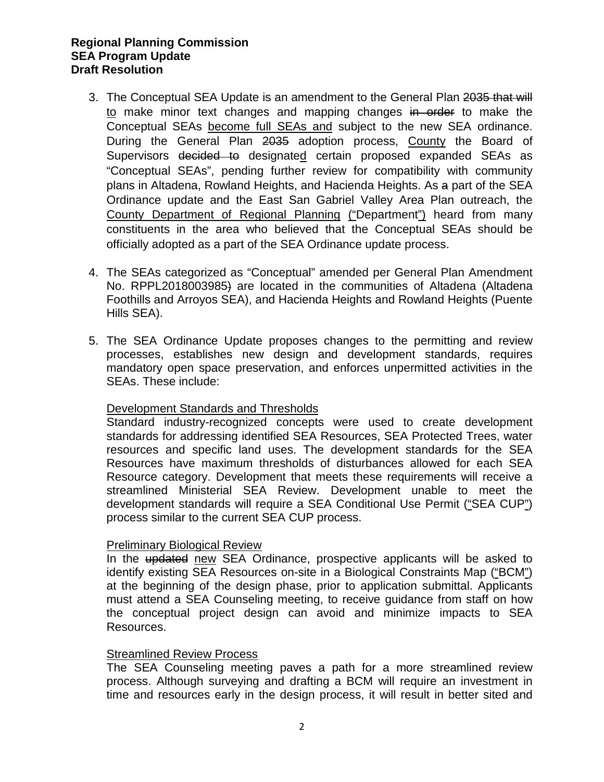- 3. The Conceptual SEA Update is an amendment to the General Plan 2035 that will to make minor text changes and mapping changes in order to make the Conceptual SEAs become full SEAs and subject to the new SEA ordinance. During the General Plan 2035 adoption process, County the Board of Supervisors decided to designated certain proposed expanded SEAs as "Conceptual SEAs", pending further review for compatibility with community plans in Altadena, Rowland Heights, and Hacienda Heights. As a part of the SEA Ordinance update and the East San Gabriel Valley Area Plan outreach, the County Department of Regional Planning ("Department") heard from many constituents in the area who believed that the Conceptual SEAs should be officially adopted as a part of the SEA Ordinance update process.
- 4. The SEAs categorized as "Conceptual" amended per General Plan Amendment No. RPPL2018003985) are located in the communities of Altadena (Altadena Foothills and Arroyos SEA), and Hacienda Heights and Rowland Heights (Puente Hills SEA).
- 5. The SEA Ordinance Update proposes changes to the permitting and review processes, establishes new design and development standards, requires mandatory open space preservation, and enforces unpermitted activities in the SEAs. These include:

# Development Standards and Thresholds

Standard industry-recognized concepts were used to create development standards for addressing identified SEA Resources, SEA Protected Trees, water resources and specific land uses. The development standards for the SEA Resources have maximum thresholds of disturbances allowed for each SEA Resource category. Development that meets these requirements will receive a streamlined Ministerial SEA Review. Development unable to meet the development standards will require a SEA Conditional Use Permit ("SEA CUP") process similar to the current SEA CUP process.

#### Preliminary Biological Review

In the updated new SEA Ordinance, prospective applicants will be asked to identify existing SEA Resources on-site in a Biological Constraints Map ("BCM") at the beginning of the design phase, prior to application submittal. Applicants must attend a SEA Counseling meeting, to receive guidance from staff on how the conceptual project design can avoid and minimize impacts to SEA Resources.

#### Streamlined Review Process

The SEA Counseling meeting paves a path for a more streamlined review process. Although surveying and drafting a BCM will require an investment in time and resources early in the design process, it will result in better sited and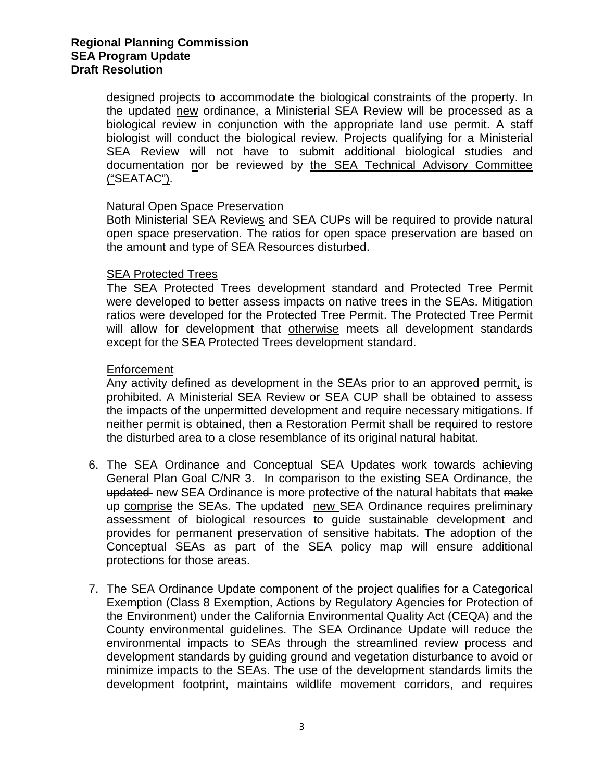designed projects to accommodate the biological constraints of the property. In the updated new ordinance, a Ministerial SEA Review will be processed as a biological review in conjunction with the appropriate land use permit. A staff biologist will conduct the biological review. Projects qualifying for a Ministerial SEA Review will not have to submit additional biological studies and documentation nor be reviewed by the SEA Technical Advisory Committee ("SEATAC").

## Natural Open Space Preservation

Both Ministerial SEA Reviews and SEA CUPs will be required to provide natural open space preservation. The ratios for open space preservation are based on the amount and type of SEA Resources disturbed.

## SEA Protected Trees

The SEA Protected Trees development standard and Protected Tree Permit were developed to better assess impacts on native trees in the SEAs. Mitigation ratios were developed for the Protected Tree Permit. The Protected Tree Permit will allow for development that otherwise meets all development standards except for the SEA Protected Trees development standard.

## **Enforcement**

Any activity defined as development in the SEAs prior to an approved permit, is prohibited. A Ministerial SEA Review or SEA CUP shall be obtained to assess the impacts of the unpermitted development and require necessary mitigations. If neither permit is obtained, then a Restoration Permit shall be required to restore the disturbed area to a close resemblance of its original natural habitat.

- 6. The SEA Ordinance and Conceptual SEA Updates work towards achieving General Plan Goal C/NR 3. In comparison to the existing SEA Ordinance, the updated new SEA Ordinance is more protective of the natural habitats that make up comprise the SEAs. The updated new SEA Ordinance requires preliminary assessment of biological resources to guide sustainable development and provides for permanent preservation of sensitive habitats. The adoption of the Conceptual SEAs as part of the SEA policy map will ensure additional protections for those areas.
- 7. The SEA Ordinance Update component of the project qualifies for a Categorical Exemption (Class 8 Exemption, Actions by Regulatory Agencies for Protection of the Environment) under the California Environmental Quality Act (CEQA) and the County environmental guidelines. The SEA Ordinance Update will reduce the environmental impacts to SEAs through the streamlined review process and development standards by guiding ground and vegetation disturbance to avoid or minimize impacts to the SEAs. The use of the development standards limits the development footprint, maintains wildlife movement corridors, and requires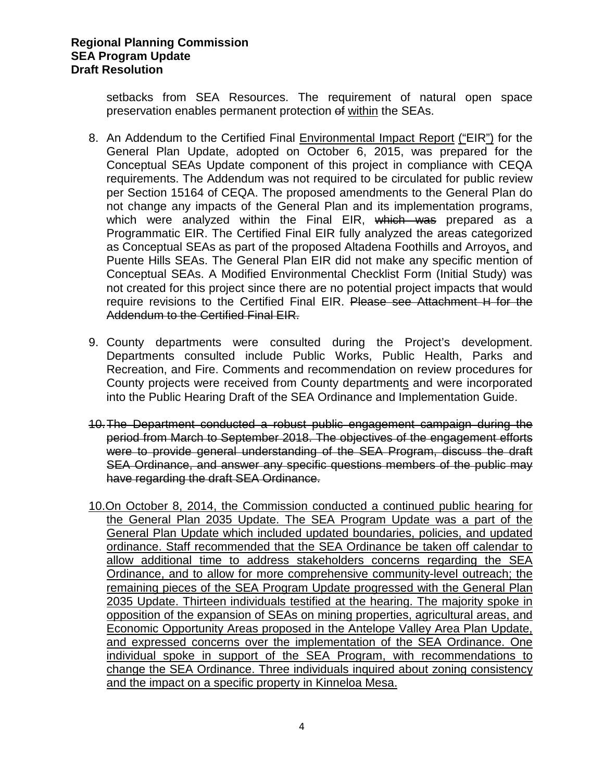setbacks from SEA Resources. The requirement of natural open space preservation enables permanent protection of within the SEAs.

- 8. An Addendum to the Certified Final Environmental Impact Report ("EIR") for the General Plan Update, adopted on October 6, 2015, was prepared for the Conceptual SEAs Update component of this project in compliance with CEQA requirements. The Addendum was not required to be circulated for public review per Section 15164 of CEQA. The proposed amendments to the General Plan do not change any impacts of the General Plan and its implementation programs, which were analyzed within the Final EIR, which was prepared as a Programmatic EIR. The Certified Final EIR fully analyzed the areas categorized as Conceptual SEAs as part of the proposed Altadena Foothills and Arroyos, and Puente Hills SEAs. The General Plan EIR did not make any specific mention of Conceptual SEAs. A Modified Environmental Checklist Form (Initial Study) was not created for this project since there are no potential project impacts that would require revisions to the Certified Final EIR. Please see Attachment H for the Addendum to the Certified Final EIR.
- 9. County departments were consulted during the Project's development. Departments consulted include Public Works, Public Health, Parks and Recreation, and Fire. Comments and recommendation on review procedures for County projects were received from County departments and were incorporated into the Public Hearing Draft of the SEA Ordinance and Implementation Guide.
- 10.The Department conducted a robust public engagement campaign during the period from March to September 2018. The objectives of the engagement efforts were to provide general understanding of the SEA Program, discuss the draft SEA Ordinance, and answer any specific questions members of the public may have regarding the draft SEA Ordinance.
- 10.On October 8, 2014, the Commission conducted a continued public hearing for the General Plan 2035 Update. The SEA Program Update was a part of the General Plan Update which included updated boundaries, policies, and updated ordinance. Staff recommended that the SEA Ordinance be taken off calendar to allow additional time to address stakeholders concerns regarding the SEA Ordinance, and to allow for more comprehensive community-level outreach; the remaining pieces of the SEA Program Update progressed with the General Plan 2035 Update. Thirteen individuals testified at the hearing. The majority spoke in opposition of the expansion of SEAs on mining properties, agricultural areas, and Economic Opportunity Areas proposed in the Antelope Valley Area Plan Update, and expressed concerns over the implementation of the SEA Ordinance. One individual spoke in support of the SEA Program, with recommendations to change the SEA Ordinance. Three individuals inquired about zoning consistency and the impact on a specific property in Kinneloa Mesa.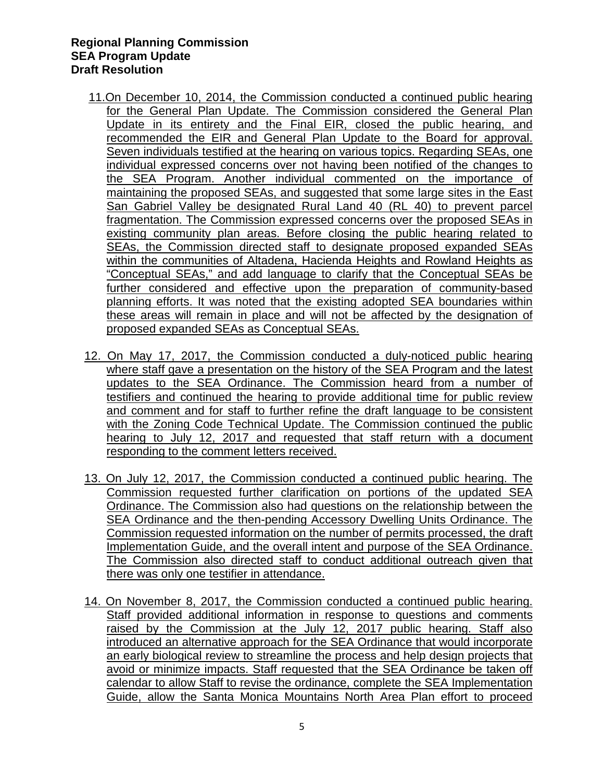- 11.On December 10, 2014, the Commission conducted a continued public hearing for the General Plan Update. The Commission considered the General Plan Update in its entirety and the Final EIR, closed the public hearing, and recommended the EIR and General Plan Update to the Board for approval. Seven individuals testified at the hearing on various topics. Regarding SEAs, one individual expressed concerns over not having been notified of the changes to the SEA Program. Another individual commented on the importance of maintaining the proposed SEAs, and suggested that some large sites in the East San Gabriel Valley be designated Rural Land 40 (RL 40) to prevent parcel fragmentation. The Commission expressed concerns over the proposed SEAs in existing community plan areas. Before closing the public hearing related to SEAs, the Commission directed staff to designate proposed expanded SEAs within the communities of Altadena, Hacienda Heights and Rowland Heights as "Conceptual SEAs," and add language to clarify that the Conceptual SEAs be further considered and effective upon the preparation of community-based planning efforts. It was noted that the existing adopted SEA boundaries within these areas will remain in place and will not be affected by the designation of proposed expanded SEAs as Conceptual SEAs.
- 12. On May 17, 2017, the Commission conducted a duly-noticed public hearing where staff gave a presentation on the history of the SEA Program and the latest updates to the SEA Ordinance. The Commission heard from a number of testifiers and continued the hearing to provide additional time for public review and comment and for staff to further refine the draft language to be consistent with the Zoning Code Technical Update. The Commission continued the public hearing to July 12, 2017 and requested that staff return with a document responding to the comment letters received.
- 13. On July 12, 2017, the Commission conducted a continued public hearing. The Commission requested further clarification on portions of the updated SEA Ordinance. The Commission also had questions on the relationship between the SEA Ordinance and the then-pending Accessory Dwelling Units Ordinance. The Commission requested information on the number of permits processed, the draft Implementation Guide, and the overall intent and purpose of the SEA Ordinance. The Commission also directed staff to conduct additional outreach given that there was only one testifier in attendance.
- 14. On November 8, 2017, the Commission conducted a continued public hearing. Staff provided additional information in response to questions and comments raised by the Commission at the July 12, 2017 public hearing. Staff also introduced an alternative approach for the SEA Ordinance that would incorporate an early biological review to streamline the process and help design projects that avoid or minimize impacts. Staff requested that the SEA Ordinance be taken off calendar to allow Staff to revise the ordinance, complete the SEA Implementation Guide, allow the Santa Monica Mountains North Area Plan effort to proceed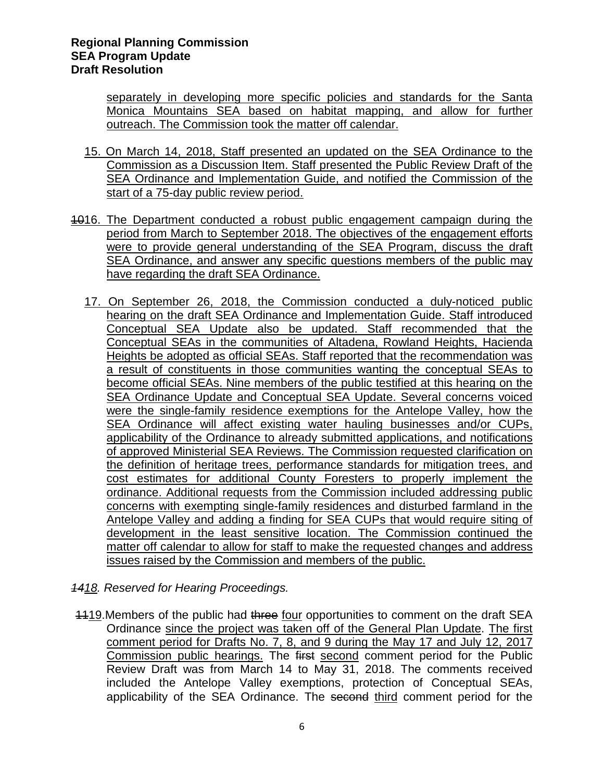separately in developing more specific policies and standards for the Santa Monica Mountains SEA based on habitat mapping, and allow for further outreach. The Commission took the matter off calendar.

- 15. On March 14, 2018, Staff presented an updated on the SEA Ordinance to the Commission as a Discussion Item. Staff presented the Public Review Draft of the SEA Ordinance and Implementation Guide, and notified the Commission of the start of a 75-day public review period.
- 1016. The Department conducted a robust public engagement campaign during the period from March to September 2018. The objectives of the engagement efforts were to provide general understanding of the SEA Program, discuss the draft SEA Ordinance, and answer any specific questions members of the public may have regarding the draft SEA Ordinance.
	- 17. On September 26, 2018, the Commission conducted a duly-noticed public hearing on the draft SEA Ordinance and Implementation Guide. Staff introduced Conceptual SEA Update also be updated. Staff recommended that the Conceptual SEAs in the communities of Altadena, Rowland Heights, Hacienda Heights be adopted as official SEAs. Staff reported that the recommendation was a result of constituents in those communities wanting the conceptual SEAs to become official SEAs. Nine members of the public testified at this hearing on the SEA Ordinance Update and Conceptual SEA Update. Several concerns voiced were the single-family residence exemptions for the Antelope Valley, how the SEA Ordinance will affect existing water hauling businesses and/or CUPs, applicability of the Ordinance to already submitted applications, and notifications of approved Ministerial SEA Reviews. The Commission requested clarification on the definition of heritage trees, performance standards for mitigation trees, and cost estimates for additional County Foresters to properly implement the ordinance. Additional requests from the Commission included addressing public concerns with exempting single-family residences and disturbed farmland in the Antelope Valley and adding a finding for SEA CUPs that would require siting of development in the least sensitive location. The Commission continued the matter off calendar to allow for staff to make the requested changes and address issues raised by the Commission and members of the public.
- *1418. Reserved for Hearing Proceedings.*
- 1119.Members of the public had three four opportunities to comment on the draft SEA Ordinance since the project was taken off of the General Plan Update. The first comment period for Drafts No. 7, 8, and 9 during the May 17 and July 12, 2017 Commission public hearings. The first second comment period for the Public Review Draft was from March 14 to May 31, 2018. The comments received included the Antelope Valley exemptions, protection of Conceptual SEAs, applicability of the SEA Ordinance. The second third comment period for the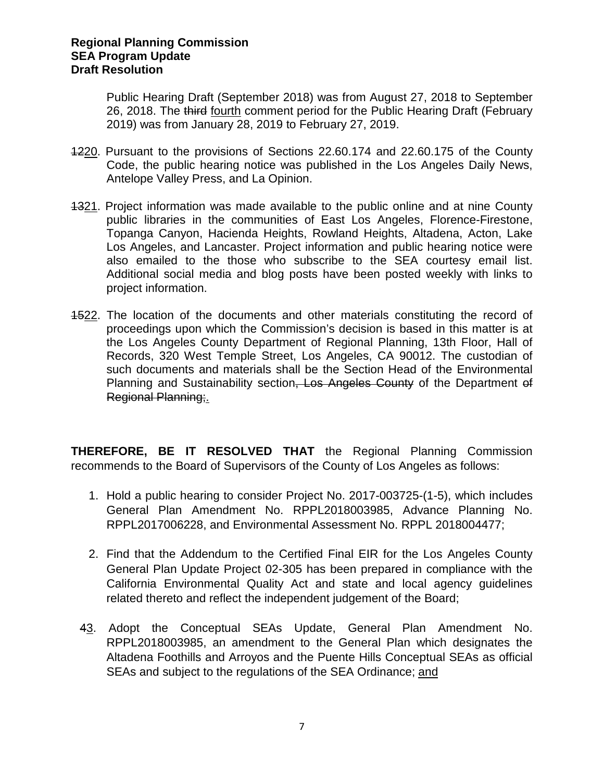Public Hearing Draft (September 2018) was from August 27, 2018 to September 26, 2018. The third fourth comment period for the Public Hearing Draft (February 2019) was from January 28, 2019 to February 27, 2019.

- 1220. Pursuant to the provisions of Sections 22.60.174 and 22.60.175 of the County Code, the public hearing notice was published in the Los Angeles Daily News, Antelope Valley Press, and La Opinion.
- 1321. Project information was made available to the public online and at nine County public libraries in the communities of East Los Angeles, Florence-Firestone, Topanga Canyon, Hacienda Heights, Rowland Heights, Altadena, Acton, Lake Los Angeles, and Lancaster. Project information and public hearing notice were also emailed to the those who subscribe to the SEA courtesy email list. Additional social media and blog posts have been posted weekly with links to project information.
- 1522. The location of the documents and other materials constituting the record of proceedings upon which the Commission's decision is based in this matter is at the Los Angeles County Department of Regional Planning, 13th Floor, Hall of Records, 320 West Temple Street, Los Angeles, CA 90012. The custodian of such documents and materials shall be the Section Head of the Environmental Planning and Sustainability section, Los Angeles County of the Department of Regional Planning;.

**THEREFORE, BE IT RESOLVED THAT** the Regional Planning Commission recommends to the Board of Supervisors of the County of Los Angeles as follows:

- 1. Hold a public hearing to consider Project No. 2017-003725-(1-5), which includes General Plan Amendment No. RPPL2018003985, Advance Planning No. RPPL2017006228, and Environmental Assessment No. RPPL 2018004477;
- 2. Find that the Addendum to the Certified Final EIR for the Los Angeles County General Plan Update Project 02-305 has been prepared in compliance with the California Environmental Quality Act and state and local agency guidelines related thereto and reflect the independent judgement of the Board;
- 43. Adopt the Conceptual SEAs Update, General Plan Amendment No. RPPL2018003985, an amendment to the General Plan which designates the Altadena Foothills and Arroyos and the Puente Hills Conceptual SEAs as official SEAs and subject to the regulations of the SEA Ordinance; and